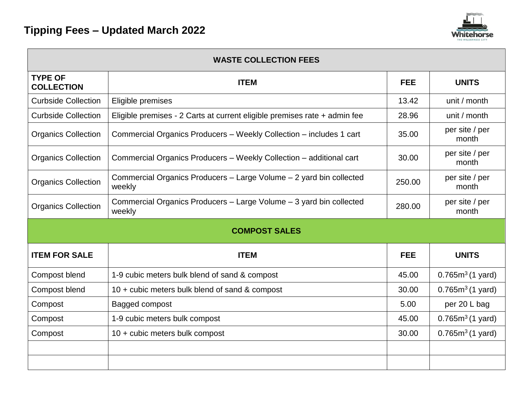

| <b>WASTE COLLECTION FEES</b>        |                                                                               |            |                            |  |  |
|-------------------------------------|-------------------------------------------------------------------------------|------------|----------------------------|--|--|
| <b>TYPE OF</b><br><b>COLLECTION</b> | <b>ITEM</b>                                                                   | <b>FEE</b> | <b>UNITS</b>               |  |  |
| <b>Curbside Collection</b>          | Eligible premises                                                             | 13.42      | unit / month               |  |  |
| <b>Curbside Collection</b>          | Eligible premises - 2 Carts at current eligible premises rate + admin fee     | 28.96      | unit / month               |  |  |
| <b>Organics Collection</b>          | Commercial Organics Producers - Weekly Collection - includes 1 cart           | 35.00      | per site / per<br>month    |  |  |
| <b>Organics Collection</b>          | Commercial Organics Producers - Weekly Collection - additional cart           | 30.00      | per site / per<br>month    |  |  |
| <b>Organics Collection</b>          | Commercial Organics Producers - Large Volume - 2 yard bin collected<br>weekly | 250.00     | per site / per<br>month    |  |  |
| <b>Organics Collection</b>          | Commercial Organics Producers - Large Volume - 3 yard bin collected<br>weekly | 280.00     | per site / per<br>month    |  |  |
| <b>COMPOST SALES</b>                |                                                                               |            |                            |  |  |
| <b>ITEM FOR SALE</b>                | <b>ITEM</b>                                                                   | <b>FEE</b> | <b>UNITS</b>               |  |  |
| Compost blend                       | 1-9 cubic meters bulk blend of sand & compost                                 | 45.00      | $0.765m^3(1 \text{ yard})$ |  |  |
| Compost blend                       | 10 + cubic meters bulk blend of sand & compost                                | 30.00      | $0.765m^3(1 \text{ yard})$ |  |  |
| Compost                             | Bagged compost                                                                | 5.00       | per 20 L bag               |  |  |
| Compost                             | 1-9 cubic meters bulk compost                                                 | 45.00      | $0.765m^3(1 \text{ yard})$ |  |  |
| Compost                             | 10 + cubic meters bulk compost                                                | 30.00      | $0.765m^3(1 \text{ yard})$ |  |  |
|                                     |                                                                               |            |                            |  |  |
|                                     |                                                                               |            |                            |  |  |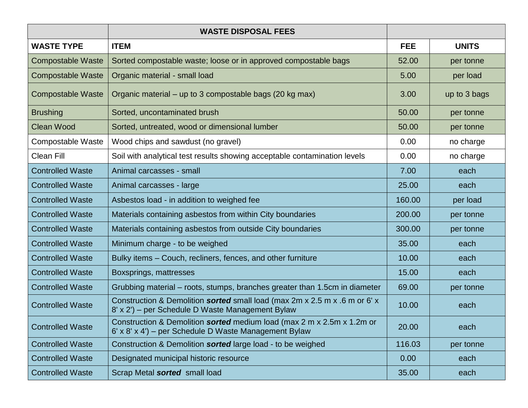|                          | <b>WASTE DISPOSAL FEES</b>                                                                                                      |            |              |
|--------------------------|---------------------------------------------------------------------------------------------------------------------------------|------------|--------------|
| <b>WASTE TYPE</b>        | <b>ITEM</b>                                                                                                                     | <b>FEE</b> | <b>UNITS</b> |
| <b>Compostable Waste</b> | Sorted compostable waste; loose or in approved compostable bags                                                                 | 52.00      | per tonne    |
| <b>Compostable Waste</b> | Organic material - small load                                                                                                   | 5.00       | per load     |
| <b>Compostable Waste</b> | Organic material – up to 3 compostable bags (20 kg max)                                                                         | 3.00       | up to 3 bags |
| <b>Brushing</b>          | Sorted, uncontaminated brush                                                                                                    | 50.00      | per tonne    |
| <b>Clean Wood</b>        | Sorted, untreated, wood or dimensional lumber                                                                                   | 50.00      | per tonne    |
| <b>Compostable Waste</b> | Wood chips and sawdust (no gravel)                                                                                              | 0.00       | no charge    |
| <b>Clean Fill</b>        | Soil with analytical test results showing acceptable contamination levels                                                       | 0.00       | no charge    |
| <b>Controlled Waste</b>  | Animal carcasses - small                                                                                                        | 7.00       | each         |
| <b>Controlled Waste</b>  | Animal carcasses - large                                                                                                        | 25.00      | each         |
| <b>Controlled Waste</b>  | Asbestos load - in addition to weighed fee                                                                                      | 160.00     | per load     |
| <b>Controlled Waste</b>  | Materials containing asbestos from within City boundaries                                                                       | 200.00     | per tonne    |
| <b>Controlled Waste</b>  | Materials containing asbestos from outside City boundaries                                                                      | 300.00     | per tonne    |
| <b>Controlled Waste</b>  | Minimum charge - to be weighed                                                                                                  | 35.00      | each         |
| <b>Controlled Waste</b>  | Bulky items – Couch, recliners, fences, and other furniture                                                                     | 10.00      | each         |
| <b>Controlled Waste</b>  | Boxsprings, mattresses                                                                                                          | 15.00      | each         |
| <b>Controlled Waste</b>  | Grubbing material – roots, stumps, branches greater than 1.5cm in diameter                                                      | 69.00      | per tonne    |
| <b>Controlled Waste</b>  | Construction & Demolition sorted small load (max 2m x 2.5 m x .6 m or 6' x<br>8' x 2') – per Schedule D Waste Management Bylaw  | 10.00      | each         |
| <b>Controlled Waste</b>  | Construction & Demolition sorted medium load (max 2 m x 2.5m x 1.2m or<br>6' x 8' x 4') – per Schedule D Waste Management Bylaw | 20.00      | each         |
| <b>Controlled Waste</b>  | Construction & Demolition sorted large load - to be weighed                                                                     | 116.03     | per tonne    |
| <b>Controlled Waste</b>  | Designated municipal historic resource                                                                                          | 0.00       | each         |
| <b>Controlled Waste</b>  | Scrap Metal sorted small load                                                                                                   | 35.00      | each         |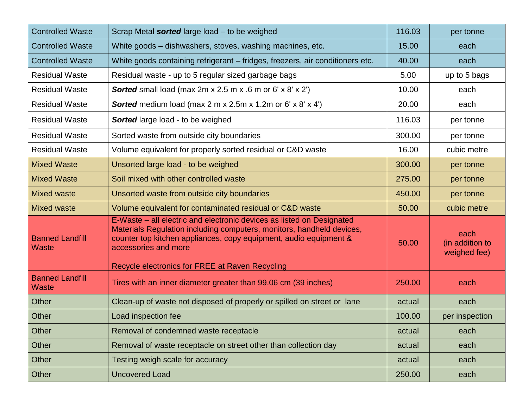| <b>Controlled Waste</b>                | Scrap Metal sorted large load - to be weighed                                                                                                                                                                                                                                                  | 116.03 | per tonne                               |
|----------------------------------------|------------------------------------------------------------------------------------------------------------------------------------------------------------------------------------------------------------------------------------------------------------------------------------------------|--------|-----------------------------------------|
| <b>Controlled Waste</b>                | White goods – dishwashers, stoves, washing machines, etc.                                                                                                                                                                                                                                      | 15.00  | each                                    |
| <b>Controlled Waste</b>                | White goods containing refrigerant – fridges, freezers, air conditioners etc.                                                                                                                                                                                                                  | 40.00  | each                                    |
| <b>Residual Waste</b>                  | Residual waste - up to 5 regular sized garbage bags                                                                                                                                                                                                                                            | 5.00   | up to 5 bags                            |
| <b>Residual Waste</b>                  | <b>Sorted</b> small load (max 2m x 2.5 m x .6 m or 6' x 8' x 2')                                                                                                                                                                                                                               | 10.00  | each                                    |
| <b>Residual Waste</b>                  | <b>Sorted</b> medium load (max 2 m x 2.5m x 1.2m or 6' x 8' x 4')                                                                                                                                                                                                                              | 20.00  | each                                    |
| <b>Residual Waste</b>                  | <b>Sorted</b> large load - to be weighed                                                                                                                                                                                                                                                       | 116.03 | per tonne                               |
| <b>Residual Waste</b>                  | Sorted waste from outside city boundaries                                                                                                                                                                                                                                                      | 300.00 | per tonne                               |
| <b>Residual Waste</b>                  | Volume equivalent for properly sorted residual or C&D waste                                                                                                                                                                                                                                    | 16.00  | cubic metre                             |
| <b>Mixed Waste</b>                     | Unsorted large load - to be weighed                                                                                                                                                                                                                                                            | 300.00 | per tonne                               |
| <b>Mixed Waste</b>                     | Soil mixed with other controlled waste                                                                                                                                                                                                                                                         | 275.00 | per tonne                               |
| <b>Mixed waste</b>                     | Unsorted waste from outside city boundaries                                                                                                                                                                                                                                                    | 450.00 | per tonne                               |
| <b>Mixed waste</b>                     | Volume equivalent for contaminated residual or C&D waste                                                                                                                                                                                                                                       | 50.00  | cubic metre                             |
| <b>Banned Landfill</b><br><b>Waste</b> | E-Waste – all electric and electronic devices as listed on Designated<br>Materials Regulation including computers, monitors, handheld devices,<br>counter top kitchen appliances, copy equipment, audio equipment &<br>accessories and more<br>Recycle electronics for FREE at Raven Recycling | 50.00  | each<br>(in addition to<br>weighed fee) |
| <b>Banned Landfill</b><br><b>Waste</b> | Tires with an inner diameter greater than 99.06 cm (39 inches)                                                                                                                                                                                                                                 | 250.00 | each                                    |
| Other                                  | Clean-up of waste not disposed of properly or spilled on street or lane                                                                                                                                                                                                                        | actual | each                                    |
| Other                                  | Load inspection fee                                                                                                                                                                                                                                                                            | 100.00 | per inspection                          |
| Other                                  | Removal of condemned waste receptacle                                                                                                                                                                                                                                                          | actual | each                                    |
| <b>Other</b>                           | Removal of waste receptacle on street other than collection day                                                                                                                                                                                                                                | actual | each                                    |
| Other                                  | Testing weigh scale for accuracy                                                                                                                                                                                                                                                               | actual | each                                    |
| Other                                  | <b>Uncovered Load</b>                                                                                                                                                                                                                                                                          | 250.00 | each                                    |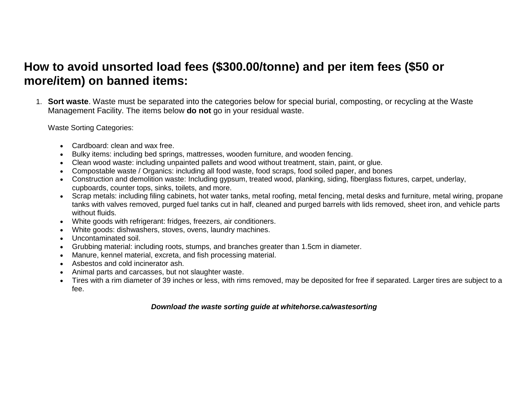## **How to avoid unsorted load fees (\$300.00/tonne) and per item fees (\$50 or more/item) on banned items:**

1. **Sort waste**. Waste must be separated into the categories below for special burial, composting, or recycling at the Waste Management Facility. The items below **do not** go in your residual waste.

Waste Sorting Categories:

- Cardboard: clean and wax free.
- Bulky items: including bed springs, mattresses, wooden furniture, and wooden fencing.
- Clean wood waste: including unpainted pallets and wood without treatment, stain, paint, or glue.
- Compostable waste / Organics: including all food waste, food scraps, food soiled paper, and bones
- Construction and demolition waste: Including gypsum, treated wood, planking, siding, fiberglass fixtures, carpet, underlay, cupboards, counter tops, sinks, toilets, and more.
- Scrap metals: including filing cabinets, hot water tanks, metal roofing, metal fencing, metal desks and furniture, metal wiring, propane tanks with valves removed, purged fuel tanks cut in half, cleaned and purged barrels with lids removed, sheet iron, and vehicle parts without fluids.
- White goods with refrigerant: fridges, freezers, air conditioners.
- White goods: dishwashers, stoves, ovens, laundry machines.
- Uncontaminated soil.
- Grubbing material: including roots, stumps, and branches greater than 1.5cm in diameter.
- Manure, kennel material, excreta, and fish processing material.
- Asbestos and cold incinerator ash.
- Animal parts and carcasses, but not slaughter waste.
- Tires with a rim diameter of 39 inches or less, with rims removed, may be deposited for free if separated. Larger tires are subject to a fee.

## *Download the waste sorting guide at whitehorse.ca/wastesorting*